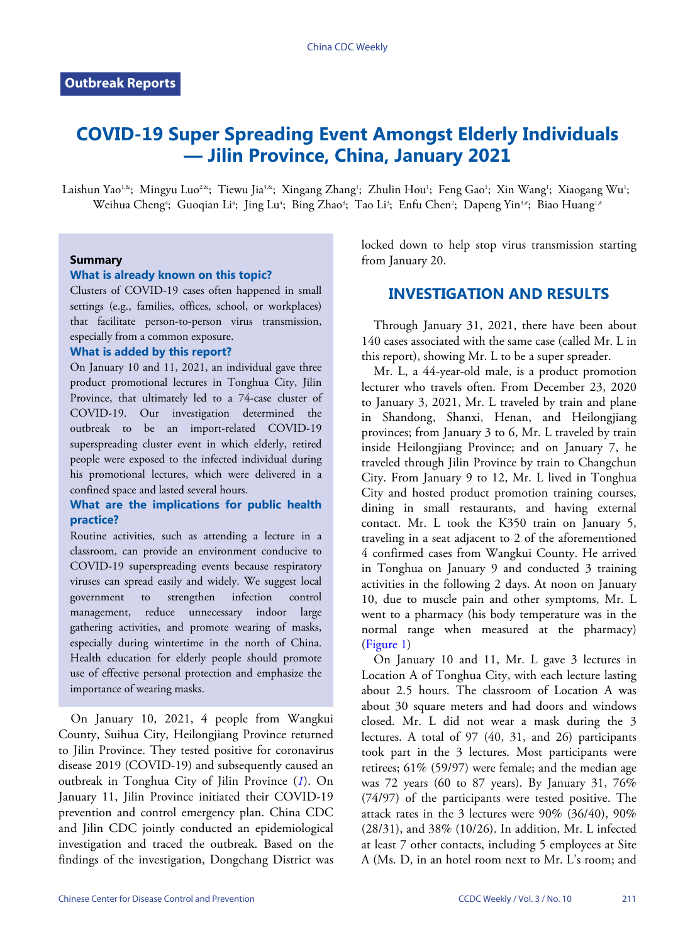# **COVID-19 Super Spreading Event Amongst Elderly Individuals — Jilin Province, China, January 2021**

Laishun Yao'&; Mingyu Luo<sup>2,&</sup>; Tiewu Jia<sup>3,&</sup>; Xingang Zhang'; Zhulin Hou'; Feng Gao'; Xin Wang'; Xiaogang Wu'; Weihua Cheng'; Guoqian Li'; Jing Lu'; Bing Zhao'; Tao Li'; Enfu Chen'; Dapeng Yin3\*; Biao Huang<sup>1,4</sup>

#### **Summary**

#### **What is already known on this topic?**

Clusters of COVID-19 cases often happened in small settings (e.g., families, offices, school, or workplaces) that facilitate person-to-person virus transmission, especially from a common exposure.

#### **What is added by this report?**

On January 10 and 11, 2021, an individual gave three product promotional lectures in Tonghua City, Jilin Province, that ultimately led to a 74-case cluster of COVID-19. Our investigation determined the outbreak to be an import-related COVID-19 superspreading cluster event in which elderly, retired people were exposed to the infected individual during his promotional lectures, which were delivered in a confined space and lasted several hours.

## **What are the implications for public health practice?**

Routine activities, such as attending a lecture in a classroom, can provide an environment conducive to COVID-19 superspreading events because respiratory viruses can spread easily and widely. We suggest local government to strengthen infection control management, reduce unnecessary indoor large gathering activities, and promote wearing of masks, especially during wintertime in the north of China. Health education for elderly people should promote use of effective personal protection and emphasize the importance of wearing masks.

On January 10, 2021, 4 people from Wangkui County, Suihua City, Heilongjiang Province returned to Jilin Province. They tested positive for coronavirus disease 2019 (COVID-19) and subsequently caused an outbreak in Tonghua City of Jilin Province (*[1](#page-2-0)*). On January 11, Jilin Province initiated their COVID-19 prevention and control emergency plan. China CDC and Jilin CDC jointly conducted an epidemiological investigation and traced the outbreak. Based on the findings of the investigation, Dongchang District was locked down to help stop virus transmission starting from January 20.

## **INVESTIGATION AND RESULTS**

Through January 31, 2021, there have been about 140 cases associated with the same case (called Mr. L in this report), showing Mr. L to be a super spreader.

Mr. L, a 44-year-old male, is a product promotion lecturer who travels often. From December 23, 2020 to January 3, 2021, Mr. L traveled by train and plane in Shandong, Shanxi, Henan, and Heilongjiang provinces; from January 3 to 6, Mr. L traveled by train inside Heilongjiang Province; and on January 7, he traveled through Jilin Province by train to Changchun City. From January 9 to 12, Mr. L lived in Tonghua City and hosted product promotion training courses, dining in small restaurants, and having external contact. Mr. L took the K350 train on January 5, traveling in a seat adjacent to 2 of the aforementioned 4 confirmed cases from Wangkui County. He arrived in Tonghua on January 9 and conducted 3 training activities in the following 2 days. At noon on January 10, due to muscle pain and other symptoms, Mr. L went to a pharmacy (his body temperature was in the normal range when measured at the pharmacy) [\(Figure 1\)](#page-1-0)

On January 10 and 11, Mr. L gave 3 lectures in Location A of Tonghua City, with each lecture lasting about 2.5 hours. The classroom of Location A was about 30 square meters and had doors and windows closed. Mr. L did not wear a mask during the 3 lectures. A total of 97 (40, 31, and 26) participants took part in the 3 lectures. Most participants were retirees; 61% (59/97) were female; and the median age was  $72$  years (60 to 87 years). By January 31,  $76\%$ (74/97) of the participants were tested positive. The attack rates in the 3 lectures were 90% (36/40), 90% (28/31), and 38% (10/26). In addition, Mr. L infected at least 7 other contacts, including 5 employees at Site A (Ms. D, in an hotel room next to Mr. L's room; and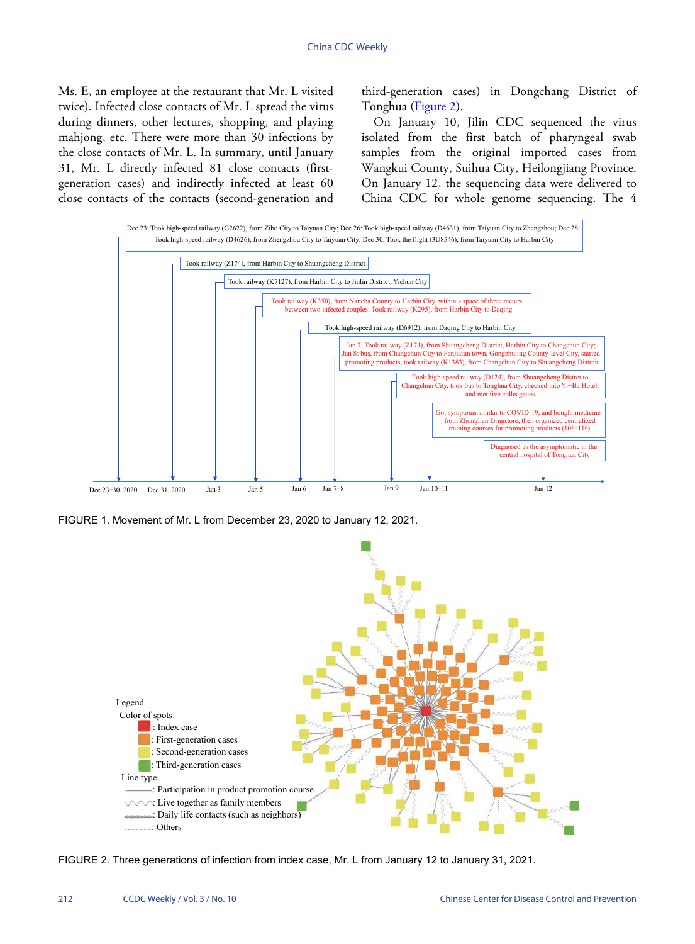Ms. E, an employee at the restaurant that Mr. L visited twice). Infected close contacts of Mr. L spread the virus during dinners, other lectures, shopping, and playing mahjong, etc. There were more than 30 infections by the close contacts of Mr. L. In summary, until January 31, Mr. L directly infected 81 close contacts (firstgeneration cases) and indirectly infected at least 60 close contacts of the contacts (second-generation and

third-generation cases) in Dongchang District of Tonghua ([Figure 2](#page-1-1)).

On January 10, Jilin CDC sequenced the virus isolated from the first batch of pharyngeal swab samples from the original imported cases from Wangkui County, Suihua City, Heilongjiang Province. On January 12, the sequencing data were delivered to China CDC for whole genome sequencing. The 4

<span id="page-1-0"></span>

<span id="page-1-1"></span>FIGURE 1. Movement of Mr. L from December 23, 2020 to January 12, 2021.



FIGURE 2. Three generations of infection from index case, Mr. L from January 12 to January 31, 2021.